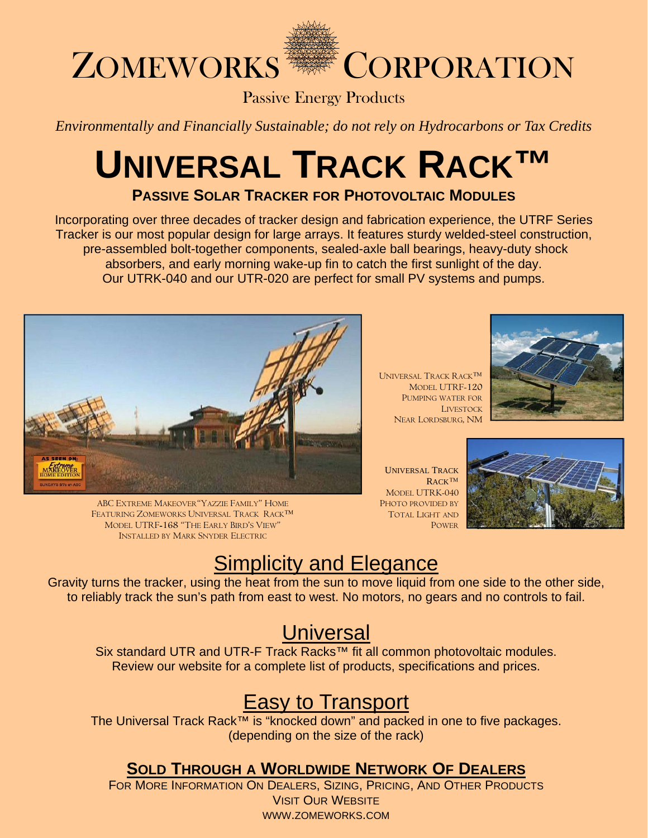

Passive Energy Products

*Environmentally and Financially Sustainable; do not rely on Hydrocarbons or Tax Credits*

# **UNIVERSAL TRACK RACK™**

**PASSIVE SOLAR TRACKER FOR PHOTOVOLTAIC MODULES**

Incorporating over three decades of tracker design and fabrication experience, the UTRF Series Tracker is our most popular design for large arrays. It features sturdy welded-steel construction, pre-assembled bolt-together components, sealed-axle ball bearings, heavy-duty shock absorbers, and early morning wake-up fin to catch the first sunlight of the day. Our UTRK-040 and our UTR-020 are perfect for small PV systems and pumps.



ABC EXTREME MAKEOVER"YAZZIE FAMILY" HOME FEATURING ZOMEWORKS UNIVERSAL TRACK RACK™ MODEL UTRF-168 "THE EARLY BIRD'S VIEW" INSTALLED BY MARK SNYDER ELECTRIC

UNIVERSAL TRACK RACK™ MODEL UTRF-120 PUMPING WATER FOR **LIVESTOCK** NEAR LORDSBURG, NM



UNIVERSAL TRACK RACK™ MODEL UTRK-040 PHOTO PROVIDED BY TOTAL LIGHT AND POWER



# **Simplicity and Elegance**

Gravity turns the tracker, using the heat from the sun to move liquid from one side to the other side, to reliably track the sun's path from east to west. No motors, no gears and no controls to fail.

## **Universal**

Six standard UTR and UTR-F Track Racks™ fit all common photovoltaic modules. Review our website for a complete list of products, specifications and prices.

# **Easy to Transport**

The Universal Track Rack™ is "knocked down" and packed in one to five packages. (depending on the size of the rack)

### **SOLD THROUGH A WORLDWIDE NETWORK OF DEALERS**

FOR MORE INFORMATION ON DEALERS, SIZING, PRICING, AND OTHER PRODUCTS VISIT OUR WEBSITE WWW.ZOMEWORKS.COM